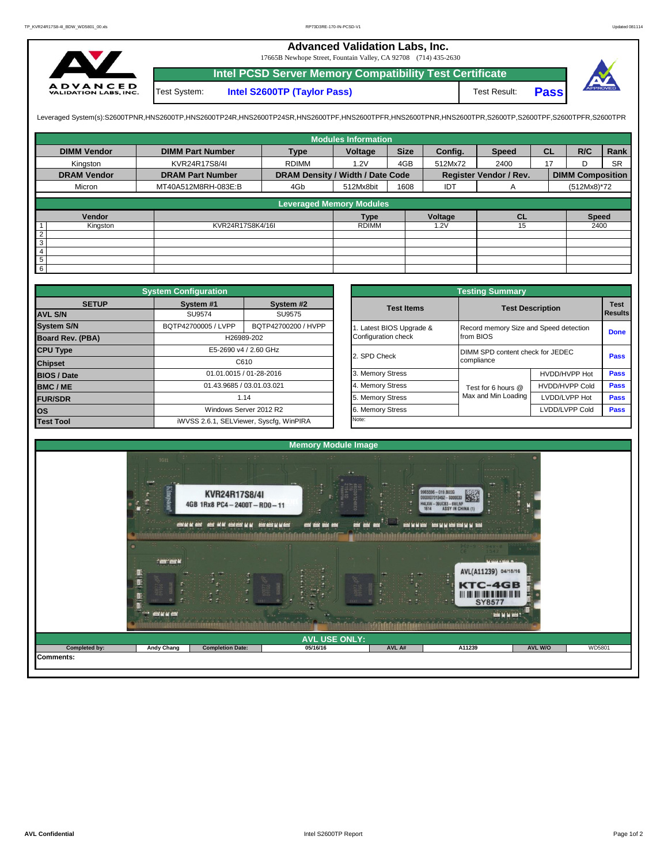## **Advanced Validation Labs, Inc.**

17665B Newhope Street, Fountain Valley, CA 92708 (714) 435-2630



**Intel PCSD Server Memory Compatibility Test Certificate Pass** Test System: **Intel S2600TP (Taylor Pass)** Test Result:

Leveraged System(s):S2600TPNR,HNS2600TP,HNS2600TP24R,HNS2600TP24SR,HNS2600TPF,HNS2600TPRR,HNS2600TPR,S2600TPR,S2600TPR,S2600TPR,S2600TPR,S2600TPFR,S2600TPFR,S2600TPR

|                    |                         |                                  | <b>Modules Information</b> |             |         |                               |           |                         |           |
|--------------------|-------------------------|----------------------------------|----------------------------|-------------|---------|-------------------------------|-----------|-------------------------|-----------|
| <b>DIMM Vendor</b> | <b>DIMM Part Number</b> | <b>Type</b>                      | Voltage                    | <b>Size</b> | Config. | <b>Speed</b>                  | <b>CL</b> | R/C                     | Rank      |
| Kingston           | KVR24R17S8/4I           | <b>RDIMM</b>                     | 1.2V                       | 4GB         | 512Mx72 | 2400                          | 17        | D                       | <b>SR</b> |
| <b>DRAM Vendor</b> | <b>DRAM Part Number</b> | DRAM Density / Width / Date Code |                            |             |         | <b>Register Vendor / Rev.</b> |           | <b>DIMM Composition</b> |           |
| Micron             | MT40A512M8RH-083E:B     | 4Gb                              | 512Mx8bit                  | 1608        | IDT     | A                             |           | (512Mx8)*72             |           |
|                    |                         | <b>Leveraged Memory Modules</b>  |                            |             |         |                               |           |                         |           |
|                    |                         |                                  |                            |             |         |                               |           |                         |           |
| Vendor             |                         |                                  | <b>Type</b>                |             | Voltage | <b>CL</b>                     |           | <b>Speed</b>            |           |
| Kingston           | KVR24R17S8K4/16I        |                                  | <b>RDIMM</b>               |             | 1.2V    | 15                            |           | 2400                    |           |
| $\overline{2}$     |                         |                                  |                            |             |         |                               |           |                         |           |
| $\overline{3}$     |                         |                                  |                            |             |         |                               |           |                         |           |
| 4                  |                         |                                  |                            |             |         |                               |           |                         |           |
| $\overline{5}$     |                         |                                  |                            |             |         |                               |           |                         |           |
| $6\overline{6}$    |                         |                                  |                            |             |         |                               |           |                         |           |

|                    | <b>System Configuration</b> |                                         |                     |                       | <b>Testing Summary</b>                 |                                  |             |  |  |  |
|--------------------|-----------------------------|-----------------------------------------|---------------------|-----------------------|----------------------------------------|----------------------------------|-------------|--|--|--|
| <b>SETUP</b>       | System #1                   | System #2                               |                     | <b>Test Items</b>     |                                        | <b>Test Description</b>          | <b>Test</b> |  |  |  |
| <b>AVL S/N</b>     | SU9574                      | SU9575                                  |                     |                       |                                        |                                  |             |  |  |  |
| <b>System S/N</b>  | BQTP42700005 / LVPP         | BQTP42700200 / HVPP                     |                     | Latest BIOS Upgrade & | Record memory Size and Speed detection |                                  | <b>Done</b> |  |  |  |
| Board Rev. (PBA)   |                             | H26989-202                              | Configuration check |                       | from BIOS                              |                                  |             |  |  |  |
| <b>CPU Type</b>    | E5-2690 v4 / 2.60 GHz       |                                         |                     | 2. SPD Check          |                                        | DIMM SPD content check for JEDEC |             |  |  |  |
| <b>Chipset</b>     | C610                        |                                         |                     |                       | compliance                             |                                  | <b>Pass</b> |  |  |  |
| <b>BIOS / Date</b> |                             | 01.01.0015 / 01-28-2016                 |                     | 3. Memory Stress      |                                        | HVDD/HVPP Hot                    | <b>Pass</b> |  |  |  |
| BMC/ME             |                             | 01.43.9685 / 03.01.03.021               |                     | 4. Memory Stress      | Test for 6 hours @                     | <b>HVDD/HVPP Cold</b>            | <b>Pass</b> |  |  |  |
| <b>FUR/SDR</b>     |                             | 1.14                                    |                     | 5. Memory Stress      | Max and Min Loading                    | LVDD/LVPP Hot                    | <b>Pass</b> |  |  |  |
| <b>los</b>         | Windows Server 2012 R2      |                                         |                     | 6. Memory Stress      |                                        | LVDD/LVPP Cold                   | Pass        |  |  |  |
| <b>Test Tool</b>   |                             | iWVSS 2.6.1, SELViewer, Syscfq, WinPIRA |                     | Note:                 |                                        |                                  |             |  |  |  |

|              | <b>System Configuration</b>                |                                         |                       | <b>Testing Summary</b>                 |                |                |  |  |  |
|--------------|--------------------------------------------|-----------------------------------------|-----------------------|----------------------------------------|----------------|----------------|--|--|--|
| <b>SETUP</b> | System #1                                  | System #2                               | <b>Test Items</b>     | <b>Test Description</b>                |                | <b>Test</b>    |  |  |  |
|              | SU9574                                     | SU9575                                  |                       |                                        |                | <b>Results</b> |  |  |  |
|              | BQTP42700200 / HVPP<br>BQTP42700005 / LVPP |                                         | Latest BIOS Upgrade & | Record memory Size and Speed detection |                |                |  |  |  |
| PBA)         |                                            | H26989-202                              | Configuration check   | from BIOS                              |                | <b>Done</b>    |  |  |  |
|              |                                            | E5-2690 v4 / 2.60 GHz                   | 2. SPD Check          | DIMM SPD content check for JEDEC       |                |                |  |  |  |
|              |                                            | C610                                    |                       | compliance                             |                | Pass           |  |  |  |
|              |                                            | 01.01.0015 / 01-28-2016                 | 3. Memory Stress      |                                        | HVDD/HVPP Hot  | Pass           |  |  |  |
|              |                                            | 01.43.9685 / 03.01.03.021               | 4. Memory Stress      | Test for 6 hours @                     | HVDD/HVPP Cold | Pass           |  |  |  |
|              |                                            | 1.14                                    | 5. Memory Stress      | Max and Min Loading                    | LVDD/LVPP Hot  | Pass           |  |  |  |
|              |                                            | Windows Server 2012 R2                  | 6. Memory Stress      |                                        | LVDD/LVPP Cold | <b>Pass</b>    |  |  |  |
|              |                                            | iWVSS 2.6.1, SELViewer, Syscfq, WinPIRA | Note:                 |                                        |                |                |  |  |  |